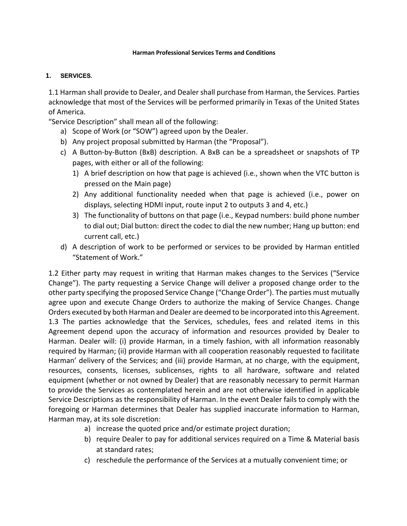#### **Harman Professional Services Terms and Conditions**

### **1. SERVICES.**

1.1 Harman shall provide to Dealer, and Dealer shall purchase from Harman, the Services. Parties acknowledge that most of the Services will be performed primarily in Texas of the United States of America.

"Service Description" shall mean all of the following:

- a) Scope of Work (or "SOW") agreed upon by the Dealer.
- b) Any project proposal submitted by Harman (the "Proposal").
- c) A Button-by-Button (BxB) description. A BxB can be a spreadsheet or snapshots of TP pages, with either or all of the following:
	- 1) A brief description on how that page is achieved (i.e., shown when the VTC button is pressed on the Main page)
	- 2) Any additional functionality needed when that page is achieved (i.e., power on displays, selecting HDMI input, route input 2 to outputs 3 and 4, etc.)
	- 3) The functionality of buttons on that page (i.e., Keypad numbers: build phone number to dial out; Dial button: direct the codec to dial the new number; Hang up button: end current call, etc.)
- d) A description of work to be performed or services to be provided by Harman entitled "Statement of Work."

1.2 Either party may request in writing that Harman makes changes to the Services ("Service Change"). The party requesting a Service Change will deliver a proposed change order to the other party specifying the proposed Service Change ("Change Order"). The parties must mutually agree upon and execute Change Orders to authorize the making of Service Changes. Change Orders executed by both Harman and Dealer are deemed to be incorporated into this Agreement. 1.3 The parties acknowledge that the Services, schedules, fees and related items in this Agreement depend upon the accuracy of information and resources provided by Dealer to Harman. Dealer will: (i) provide Harman, in a timely fashion, with all information reasonably required by Harman; (ii) provide Harman with all cooperation reasonably requested to facilitate Harman' delivery of the Services; and (iii) provide Harman, at no charge, with the equipment, resources, consents, licenses, sublicenses, rights to all hardware, software and related equipment (whether or not owned by Dealer) that are reasonably necessary to permit Harman to provide the Services as contemplated herein and are not otherwise identified in applicable Service Descriptions as the responsibility of Harman. In the event Dealer fails to comply with the foregoing or Harman determines that Dealer has supplied inaccurate information to Harman, Harman may, at its sole discretion:

- a) increase the quoted price and/or estimate project duration;
- b) require Dealer to pay for additional services required on a Time & Material basis at standard rates;
- c) reschedule the performance of the Services at a mutually convenient time; or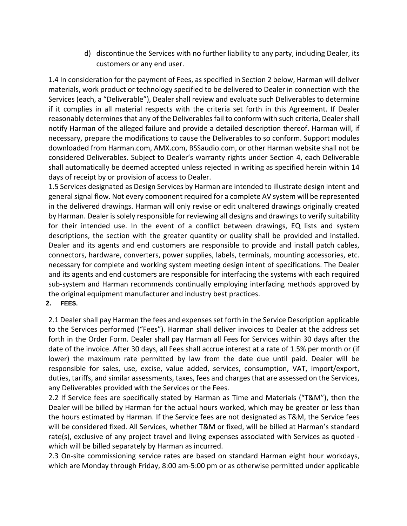d) discontinue the Services with no further liability to any party, including Dealer, its customers or any end user.

1.4 In consideration for the payment of Fees, as specified in Section 2 below, Harman will deliver materials, work product or technology specified to be delivered to Dealer in connection with the Services (each, a "Deliverable"), Dealer shall review and evaluate such Deliverables to determine if it complies in all material respects with the criteria set forth in this Agreement. If Dealer reasonably determines that any of the Deliverables fail to conform with such criteria, Dealershall notify Harman of the alleged failure and provide a detailed description thereof. Harman will, if necessary, prepare the modifications to cause the Deliverables to so conform. Support modules downloaded from Harman.com, AMX.com, BSSaudio.com, or other Harman website shall not be considered Deliverables. Subject to Dealer's warranty rights under Section 4, each Deliverable shall automatically be deemed accepted unless rejected in writing as specified herein within 14 days of receipt by or provision of access to Dealer.

1.5 Services designated as Design Services by Harman are intended to illustrate design intent and general signal flow. Not every component required for a complete AV system will be represented in the delivered drawings. Harman will only revise or edit unaltered drawings originally created by Harman. Dealer is solely responsible for reviewing all designs and drawings to verify suitability for their intended use. In the event of a conflict between drawings, EQ lists and system descriptions, the section with the greater quantity or quality shall be provided and installed. Dealer and its agents and end customers are responsible to provide and install patch cables, connectors, hardware, converters, power supplies, labels, terminals, mounting accessories, etc. necessary for complete and working system meeting design intent of specifications. The Dealer and its agents and end customers are responsible for interfacing the systems with each required sub-system and Harman recommends continually employing interfacing methods approved by the original equipment manufacturer and industry best practices.

### **2. FEES.**

2.1 Dealer shall pay Harman the fees and expenses set forth in the Service Description applicable to the Services performed ("Fees"). Harman shall deliver invoices to Dealer at the address set forth in the Order Form. Dealer shall pay Harman all Fees for Services within 30 days after the date of the invoice. After 30 days, all Fees shall accrue interest at a rate of 1.5% per month or (if lower) the maximum rate permitted by law from the date due until paid. Dealer will be responsible for sales, use, excise, value added, services, consumption, VAT, import/export, duties, tariffs, and similar assessments, taxes, fees and charges that are assessed on the Services, any Deliverables provided with the Services or the Fees.

2.2 If Service fees are specifically stated by Harman as Time and Materials ("T&M"), then the Dealer will be billed by Harman for the actual hours worked, which may be greater or less than the hours estimated by Harman. If the Service fees are not designated as T&M, the Service fees will be considered fixed. All Services, whether T&M or fixed, will be billed at Harman's standard rate(s), exclusive of any project travel and living expenses associated with Services as quoted which will be billed separately by Harman as incurred.

2.3 On-site commissioning service rates are based on standard Harman eight hour workdays, which are Monday through Friday, 8:00 am-5:00 pm or as otherwise permitted under applicable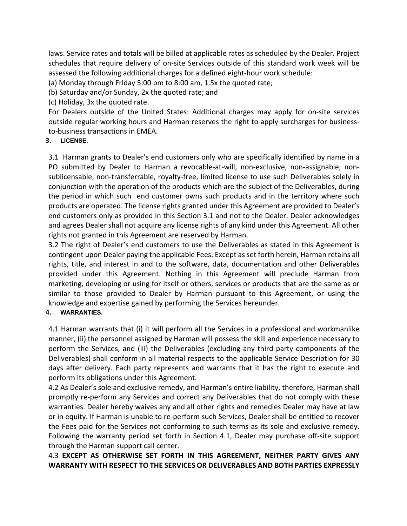laws. Service rates and totals will be billed at applicable rates as scheduled by the Dealer. Project schedules that require delivery of on-site Services outside of this standard work week will be assessed the following additional charges for a defined eight-hour work schedule:

(a) Monday through Friday 5:00 pm to 8:00 am, 1.5x the quoted rate;

(b) Saturday and/or Sunday, 2x the quoted rate; and

(c) Holiday, 3x the quoted rate.

For Dealers outside of the United States: Additional charges may apply for on-site services outside regular working hours and Harman reserves the right to apply surcharges for businessto-business transactions in EMEA.

## **3. LICENSE.**

3.1 Harman grants to Dealer's end customers only who are specifically identified by name in a PO submitted by Dealer to Harman a revocable-at-will, non-exclusive, non-assignable, nonsublicensable, non-transferrable, royalty-free, limited license to use such Deliverables solely in conjunction with the operation of the products which are the subject of the Deliverables, during the period in which such end customer owns such products and in the territory where such products are operated. The license rights granted under this Agreement are provided to Dealer's end customers only as provided in this Section 3.1 and not to the Dealer. Dealer acknowledges and agrees Dealer shall not acquire any license rights of any kind under this Agreement. All other rights not granted in this Agreement are reserved by Harman.

3.2 The right of Dealer's end customers to use the Deliverables as stated in this Agreement is contingent upon Dealer paying the applicable Fees. Except as set forth herein, Harman retains all rights, title, and interest in and to the software, data, documentation and other Deliverables provided under this Agreement. Nothing in this Agreement will preclude Harman from marketing, developing or using for itself or others, services or products that are the same as or similar to those provided to Dealer by Harman pursuant to this Agreement, or using the knowledge and expertise gained by performing the Services hereunder.

## **4. WARRANTIES.**

4.1 Harman warrants that (i) it will perform all the Services in a professional and workmanlike manner, (ii) the personnel assigned by Harman will possess the skill and experience necessary to perform the Services, and (iii) the Deliverables (excluding any third party components of the Deliverables) shall conform in all material respects to the applicable Service Description for 30 days after delivery. Each party represents and warrants that it has the right to execute and perform its obligations under this Agreement.

4.2 As Dealer's sole and exclusive remedy, and Harman's entire liability, therefore, Harman shall promptly re-perform any Services and correct any Deliverables that do not comply with these warranties. Dealer hereby waives any and all other rights and remedies Dealer may have at law or in equity. If Harman is unable to re-perform such Services, Dealer shall be entitled to recover the Fees paid for the Services not conforming to such terms as its sole and exclusive remedy. Following the warranty period set forth in Section 4.1, Dealer may purchase off-site support through the Harman support call center.

# 4.3 **EXCEPT AS OTHERWISE SET FORTH IN THIS AGREEMENT, NEITHER PARTY GIVES ANY WARRANTY WITH RESPECT TO THE SERVICES OR DELIVERABLES AND BOTH PARTIES EXPRESSLY**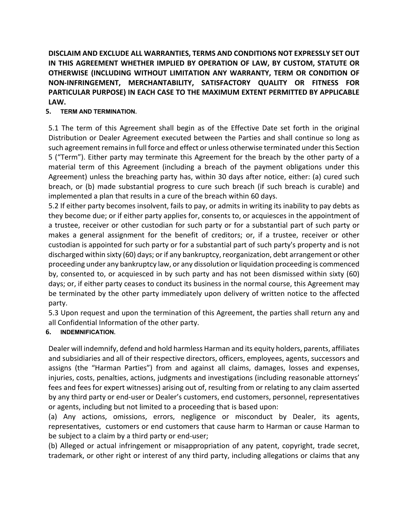**DISCLAIM AND EXCLUDE ALL WARRANTIES, TERMS AND CONDITIONS NOT EXPRESSLY SET OUT IN THIS AGREEMENT WHETHER IMPLIED BY OPERATION OF LAW, BY CUSTOM, STATUTE OR OTHERWISE (INCLUDING WITHOUT LIMITATION ANY WARRANTY, TERM OR CONDITION OF NON-INFRINGEMENT, MERCHANTABILITY, SATISFACTORY QUALITY OR FITNESS FOR PARTICULAR PURPOSE) IN EACH CASE TO THE MAXIMUM EXTENT PERMITTED BY APPLICABLE LAW.** 

## **5. TERM AND TERMINATION.**

5.1 The term of this Agreement shall begin as of the Effective Date set forth in the original Distribution or Dealer Agreement executed between the Parties and shall continue so long as such agreement remains in full force and effect or unless otherwise terminated under this Section 5 ("Term"). Either party may terminate this Agreement for the breach by the other party of a material term of this Agreement (including a breach of the payment obligations under this Agreement) unless the breaching party has, within 30 days after notice, either: (a) cured such breach, or (b) made substantial progress to cure such breach (if such breach is curable) and implemented a plan that results in a cure of the breach within 60 days.

5.2 If either party becomes insolvent, fails to pay, or admits in writing its inability to pay debts as they become due; or if either party applies for, consents to, or acquiesces in the appointment of a trustee, receiver or other custodian for such party or for a substantial part of such party or makes a general assignment for the benefit of creditors; or, if a trustee, receiver or other custodian is appointed for such party or for a substantial part of such party's property and is not discharged within sixty (60) days; or if any bankruptcy, reorganization, debt arrangement or other proceeding under any bankruptcy law, or any dissolution or liquidation proceeding is commenced by, consented to, or acquiesced in by such party and has not been dismissed within sixty (60) days; or, if either party ceases to conduct its business in the normal course, this Agreement may be terminated by the other party immediately upon delivery of written notice to the affected party.

5.3 Upon request and upon the termination of this Agreement, the parties shall return any and all Confidential Information of the other party.

## **6. INDEMNIFICATION.**

Dealer will indemnify, defend and hold harmless Harman and its equity holders, parents, affiliates and subsidiaries and all of their respective directors, officers, employees, agents, successors and assigns (the "Harman Parties") from and against all claims, damages, losses and expenses, injuries, costs, penalties, actions, judgments and investigations (including reasonable attorneys' fees and fees for expert witnesses) arising out of, resulting from or relating to any claim asserted by any third party or end-user or Dealer's customers, end customers, personnel, representatives or agents, including but not limited to a proceeding that is based upon:

(a) Any actions, omissions, errors, negligence or misconduct by Dealer, its agents, representatives, customers or end customers that cause harm to Harman or cause Harman to be subject to a claim by a third party or end-user;

(b) Alleged or actual infringement or misappropriation of any patent, copyright, trade secret, trademark, or other right or interest of any third party, including allegations or claims that any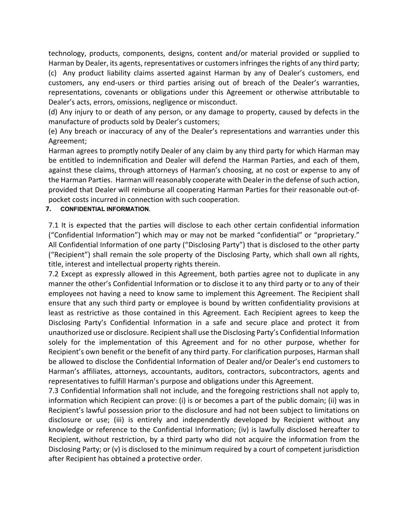technology, products, components, designs, content and/or material provided or supplied to Harman by Dealer, its agents, representatives or customers infringes the rights of any third party; (c) Any product liability claims asserted against Harman by any of Dealer's customers, end customers, any end-users or third parties arising out of breach of the Dealer's warranties, representations, covenants or obligations under this Agreement or otherwise attributable to Dealer's acts, errors, omissions, negligence or misconduct.

(d) Any injury to or death of any person, or any damage to property, caused by defects in the manufacture of products sold by Dealer's customers;

(e) Any breach or inaccuracy of any of the Dealer's representations and warranties under this Agreement;

Harman agrees to promptly notify Dealer of any claim by any third party for which Harman may be entitled to indemnification and Dealer will defend the Harman Parties, and each of them, against these claims, through attorneys of Harman's choosing, at no cost or expense to any of the Harman Parties. Harman will reasonably cooperate with Dealer in the defense of such action, provided that Dealer will reimburse all cooperating Harman Parties for their reasonable out-ofpocket costs incurred in connection with such cooperation.

## **7. CONFIDENTIAL INFORMATION.**

7.1 It is expected that the parties will disclose to each other certain confidential information ("Confidential Information") which may or may not be marked "confidential" or "proprietary." All Confidential Information of one party ("Disclosing Party") that is disclosed to the other party ("Recipient") shall remain the sole property of the Disclosing Party, which shall own all rights, title, interest and intellectual property rights therein.

7.2 Except as expressly allowed in this Agreement, both parties agree not to duplicate in any manner the other's Confidential Information or to disclose it to any third party or to any of their employees not having a need to know same to implement this Agreement. The Recipient shall ensure that any such third party or employee is bound by written confidentiality provisions at least as restrictive as those contained in this Agreement. Each Recipient agrees to keep the Disclosing Party's Confidential Information in a safe and secure place and protect it from unauthorized use or disclosure. Recipient shall use the Disclosing Party's Confidential Information solely for the implementation of this Agreement and for no other purpose, whether for Recipient's own benefit or the benefit of any third party. For clarification purposes, Harman shall be allowed to disclose the Confidential Information of Dealer and/or Dealer's end customers to Harman's affiliates, attorneys, accountants, auditors, contractors, subcontractors, agents and representatives to fulfill Harman's purpose and obligations under this Agreement.

7.3 Confidential Information shall not include, and the foregoing restrictions shall not apply to, information which Recipient can prove: (i) is or becomes a part of the public domain; (ii) was in Recipient's lawful possession prior to the disclosure and had not been subject to limitations on disclosure or use; (iii) is entirely and independently developed by Recipient without any knowledge or reference to the Confidential Information; (iv) is lawfully disclosed hereafter to Recipient, without restriction, by a third party who did not acquire the information from the Disclosing Party; or (v) is disclosed to the minimum required by a court of competent jurisdiction after Recipient has obtained a protective order.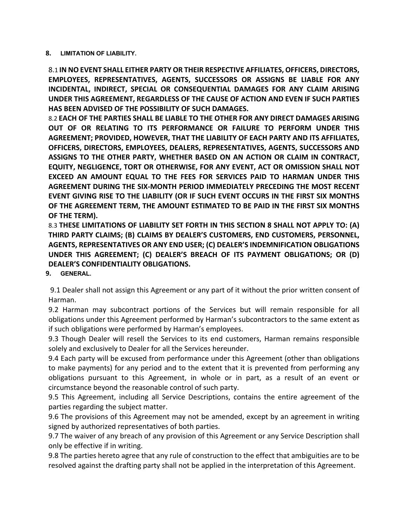### **8. LIMITATION OF LIABILITY.**

8.1 **IN NO EVENT SHALL EITHER PARTY OR THEIR RESPECTIVE AFFILIATES, OFFICERS, DIRECTORS, EMPLOYEES, REPRESENTATIVES, AGENTS, SUCCESSORS OR ASSIGNS BE LIABLE FOR ANY INCIDENTAL, INDIRECT, SPECIAL OR CONSEQUENTIAL DAMAGES FOR ANY CLAIM ARISING UNDER THIS AGREEMENT, REGARDLESS OF THE CAUSE OF ACTION AND EVEN IF SUCH PARTIES HAS BEEN ADVISED OF THE POSSIBILITY OF SUCH DAMAGES.** 

8.2 **EACH OF THE PARTIES SHALL BE LIABLE TO THE OTHER FOR ANY DIRECT DAMAGES ARISING OUT OF OR RELATING TO ITS PERFORMANCE OR FAILURE TO PERFORM UNDER THIS AGREEMENT; PROVIDED, HOWEVER, THAT THE LIABILITY OF EACH PARTY AND ITS AFFILIATES, OFFICERS, DIRECTORS, EMPLOYEES, DEALERS, REPRESENTATIVES, AGENTS, SUCCESSORS AND ASSIGNS TO THE OTHER PARTY, WHETHER BASED ON AN ACTION OR CLAIM IN CONTRACT, EQUITY, NEGLIGENCE, TORT OR OTHERWISE, FOR ANY EVENT, ACT OR OMISSION SHALL NOT EXCEED AN AMOUNT EQUAL TO THE FEES FOR SERVICES PAID TO HARMAN UNDER THIS AGREEMENT DURING THE SIX-MONTH PERIOD IMMEDIATELY PRECEDING THE MOST RECENT EVENT GIVING RISE TO THE LIABILITY (OR IF SUCH EVENT OCCURS IN THE FIRST SIX MONTHS OF THE AGREEMENT TERM, THE AMOUNT ESTIMATED TO BE PAID IN THE FIRST SIX MONTHS OF THE TERM).**

8.3 **THESE LIMITATIONS OF LIABILITY SET FORTH IN THIS SECTION 8 SHALL NOT APPLY TO: (A) THIRD PARTY CLAIMS; (B) CLAIMS BY DEALER'S CUSTOMERS, END CUSTOMERS, PERSONNEL, AGENTS, REPRESENTATIVES OR ANY END USER; (C) DEALER'S INDEMNIFICATION OBLIGATIONS UNDER THIS AGREEMENT; (C) DEALER'S BREACH OF ITS PAYMENT OBLIGATIONS; OR (D) DEALER'S CONFIDENTIALITY OBLIGATIONS.**

**9. GENERAL.**

9.1 Dealer shall not assign this Agreement or any part of it without the prior written consent of Harman.

9.2 Harman may subcontract portions of the Services but will remain responsible for all obligations under this Agreement performed by Harman's subcontractors to the same extent as if such obligations were performed by Harman's employees.

9.3 Though Dealer will resell the Services to its end customers, Harman remains responsible solely and exclusively to Dealer for all the Services hereunder.

9.4 Each party will be excused from performance under this Agreement (other than obligations to make payments) for any period and to the extent that it is prevented from performing any obligations pursuant to this Agreement, in whole or in part, as a result of an event or circumstance beyond the reasonable control of such party.

9.5 This Agreement, including all Service Descriptions, contains the entire agreement of the parties regarding the subject matter.

9.6 The provisions of this Agreement may not be amended, except by an agreement in writing signed by authorized representatives of both parties.

9.7 The waiver of any breach of any provision of this Agreement or any Service Description shall only be effective if in writing.

9.8 The parties hereto agree that any rule of construction to the effect that ambiguities are to be resolved against the drafting party shall not be applied in the interpretation of this Agreement.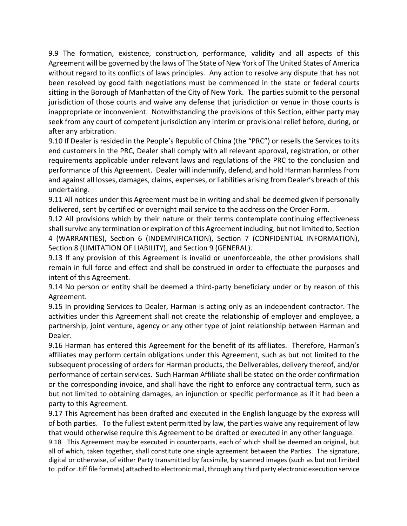9.9 The formation, existence, construction, performance, validity and all aspects of this Agreement will be governed by the laws of The State of New York of The United States of America without regard to its conflicts of laws principles. Any action to resolve any dispute that has not been resolved by good faith negotiations must be commenced in the state or federal courts sitting in the Borough of Manhattan of the City of New York. The parties submit to the personal jurisdiction of those courts and waive any defense that jurisdiction or venue in those courts is inappropriate or inconvenient. Notwithstanding the provisions of this Section, either party may seek from any court of competent jurisdiction any interim or provisional relief before, during, or after any arbitration.

9.10 If Dealer is resided in the People's Republic of China (the "PRC") or resells the Services to its end customers in the PRC, Dealer shall comply with all relevant approval, registration, or other requirements applicable under relevant laws and regulations of the PRC to the conclusion and performance of this Agreement. Dealer will indemnify, defend, and hold Harman harmless from and against all losses, damages, claims, expenses, or liabilities arising from Dealer's breach of this undertaking.

9.11 All notices under this Agreement must be in writing and shall be deemed given if personally delivered, sent by certified or overnight mail service to the address on the Order Form.

9.12 All provisions which by their nature or their terms contemplate continuing effectiveness shall survive any termination or expiration of this Agreement including, but not limited to, Section 4 (WARRANTIES), Section 6 (INDEMNIFICATION), Section 7 (CONFIDENTIAL INFORMATION), Section 8 (LIMITATION OF LIABILITY), and Section 9 (GENERAL).

9.13 If any provision of this Agreement is invalid or unenforceable, the other provisions shall remain in full force and effect and shall be construed in order to effectuate the purposes and intent of this Agreement.

9.14 No person or entity shall be deemed a third-party beneficiary under or by reason of this Agreement.

9.15 In providing Services to Dealer, Harman is acting only as an independent contractor. The activities under this Agreement shall not create the relationship of employer and employee, a partnership, joint venture, agency or any other type of joint relationship between Harman and Dealer.

9.16 Harman has entered this Agreement for the benefit of its affiliates. Therefore, Harman's affiliates may perform certain obligations under this Agreement, such as but not limited to the subsequent processing of orders for Harman products, the Deliverables, delivery thereof, and/or performance of certain services. Such Harman Affiliate shall be stated on the order confirmation or the corresponding invoice, and shall have the right to enforce any contractual term, such as but not limited to obtaining damages, an injunction or specific performance as if it had been a party to this Agreement.

9.17 This Agreement has been drafted and executed in the English language by the express will of both parties. To the fullest extent permitted by law, the parties waive any requirement of law that would otherwise require this Agreement to be drafted or executed in any other language.

9.18This Agreement may be executed in counterparts, each of which shall be deemed an original, but all of which, taken together, shall constitute one single agreement between the Parties. The signature, digital or otherwise, of either Party transmitted by facsimile, by scanned images (such as but not limited to .pdf or .tiff file formats) attached to electronic mail, through any third party electronic execution service